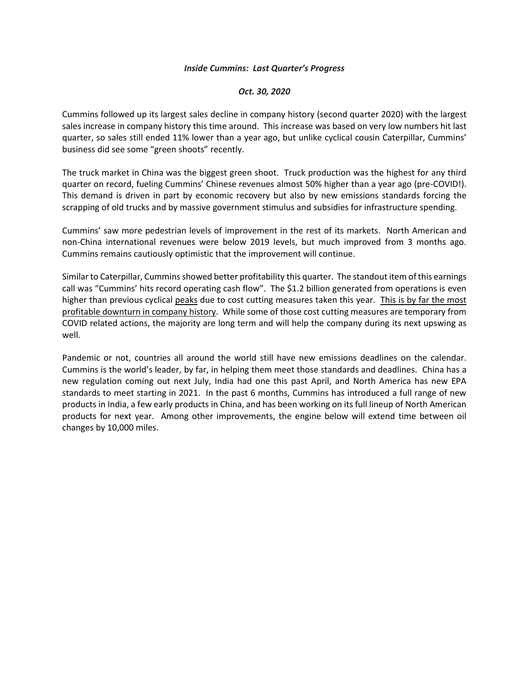## *Inside Cummins: Last Quarter's Progress*

## *Oct. 30, 2020*

Cummins followed up its largest sales decline in company history (second quarter 2020) with the largest sales increase in company history this time around. This increase was based on very low numbers hit last quarter, so sales still ended 11% lower than a year ago, but unlike cyclical cousin Caterpillar, Cummins' business did see some "green shoots" recently.

The truck market in China was the biggest green shoot. Truck production was the highest for any third quarter on record, fueling Cummins' Chinese revenues almost 50% higher than a year ago (pre-COVID!). This demand is driven in part by economic recovery but also by new emissions standards forcing the scrapping of old trucks and by massive government stimulus and subsidies for infrastructure spending.

Cummins' saw more pedestrian levels of improvement in the rest of its markets. North American and non-China international revenues were below 2019 levels, but much improved from 3 months ago. Cummins remains cautiously optimistic that the improvement will continue.

Similar to Caterpillar, Cummins showed better profitability this quarter. The standout item of this earnings call was "Cummins' hits record operating cash flow". The \$1.2 billion generated from operations is even higher than previous cyclical peaks due to cost cutting measures taken this year. This is by far the most profitable downturn in company history. While some of those cost cutting measures are temporary from COVID related actions, the majority are long term and will help the company during its next upswing as well.

Pandemic or not, countries all around the world still have new emissions deadlines on the calendar. Cummins is the world's leader, by far, in helping them meet those standards and deadlines. China has a new regulation coming out next July, India had one this past April, and North America has new EPA standards to meet starting in 2021. In the past 6 months, Cummins has introduced a full range of new products in India, a few early products in China, and has been working on its full lineup of North American products for next year. Among other improvements, the engine below will extend time between oil changes by 10,000 miles.